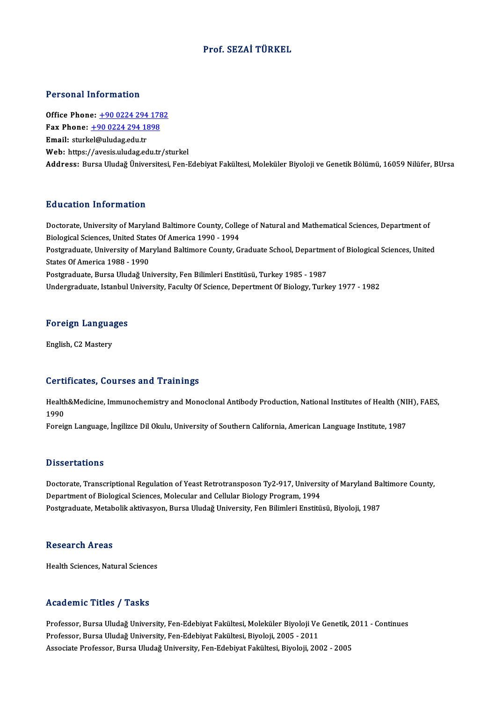## Prof. SEZAİ TÜRKEL

### Personal Information

**Personal Information<br>Office Phone: +90 0224 294 1782<br>Fay Phone: +90 0224 294 1999** Fax Phone: <u>+90 0224 294 178</u><br>Fax Phone: <u>+90 0224 294 178</u><br>Fmail: sturkel@uludes.edu.tr Office Phone: <u>+90 0224 294</u><br>Fax Phone: <u>+90 0224 294 18</u><br>Email: sturk[el@uludag.edu.tr](tel:+90 0224 294 1898) Fax Phone:  $\pm$ 90 0224 294 1898<br>Email: sturkel@uludag.edu.tr<br>Web: https://avesis.uludag.edu.tr/sturkel Address: Bursa Uludağ Üniversitesi, Fen-Edebiyat Fakültesi, Moleküler Biyoloji ve Genetik Bölümü, 16059 Nilüfer, BUrsa

### Education Information

Education Information<br>Doctorate, University of Maryland Baltimore County, College of Natural and Mathematical Sciences, Department of<br>Rialogical Sciences, United States Of America 1990, 1994 Biological Sciences, University of Maryland Baltimore County, Colle<br>Biological Sciences, United States Of America 1990 - 1994<br>Bestandaugte University of Maryland Baltimore County, C Doctorate, University of Maryland Baltimore County, College of Natural and Mathematical Sciences, Department of<br>Biological Sciences, United States Of America 1990 - 1994<br>Postgraduate, University of Maryland Baltimore Count Biological Sciences, United State<br>Postgraduate, University of Mai<br>States Of America 1988 - 1990<br>Postgraduate, Burse Unideă Un Postgraduate, University of Maryland Baltimore County, Graduate School, Departme<br>States Of America 1988 - 1990<br>Postgraduate, Bursa Uludağ University, Fen Bilimleri Enstitüsü, Turkey 1985 - 1987<br>Undergraduate, Istanbul Univ States Of America 1988 - 1990<br>Postgraduate, Bursa Uludağ University, Fen Bilimleri Enstitüsü, Turkey 1985 - 1987<br>Undergraduate, Istanbul University, Faculty Of Science, Depertment Of Biology, Turkey 1977 - 1982

# <sub>Undergraduate, istanbul</sub><br>Foreign Languages F<mark>oreign Langua</mark><br>English, C2 Mastery

# English, C2 Mastery<br>Certificates, Courses and Trainings

Certificates, Courses and Trainings<br>Health&Medicine, Immunochemistry and Monoclonal Antibody Production, National Institutes of Health (NIH), FAES,<br>1990 uur<br>Health<br>1990<br>Eereis

1990<br>Foreign Language, İngilizce Dil Okulu, University of Southern California, American Language Institute, 1987

### **Dissertations**

Dissertations<br>Doctorate, Transcriptional Regulation of Yeast Retrotransposon Ty2-917, University of Maryland Baltimore County,<br>Department of Biological Sciences, Malegular and Collular Biology Program, 1994 Department of Biological Sciences, Molecular and Cellular Biology Program, 1994<br>Postgraduate, Metabolik aktivasyon, Bursa Uludağ University, Fen Bilimleri Enstitüsü, Biyoloji, 1987 Doctorate, Transcriptional Regulation of Yeast Retrotransposon Ty2-917, University of Maryland Ba<br>Department of Biological Sciences, Molecular and Cellular Biology Program, 1994<br>Postgraduate, Metabolik aktivasyon, Bursa Ul

### Research Areas

Health Sciences, Natural Sciences

## Academic Titles / Tasks

Academic Titles / Tasks<br>Professor, Bursa Uludağ University, Fen-Edebiyat Fakültesi, Moleküler Biyoloji Ve Genetik, 2011 - Continues<br>Professor, Bursa Uludağ University, Fen-Edebiyat Fakültesi, Biyoloji, 2005 - 2011 rreauenne Treres 7 Tuons<br>Professor, Bursa Uludağ University, Fen-Edebiyat Fakültesi, Moleküler Biyoloji Ve<br>Professor, Bursa Uludağ University, Fen-Edebiyat Fakültesi, Biyoloji, 2005 - 2011<br>Assesiste Professor, Bursa Uludağ Professor, Bursa Uludağ University, Fen-Edebiyat Fakültesi, Moleküler Biyoloji Ve Genetik,<br>Professor, Bursa Uludağ University, Fen-Edebiyat Fakültesi, Biyoloji, 2005 - 2011<br>Associate Professor, Bursa Uludağ University, Fen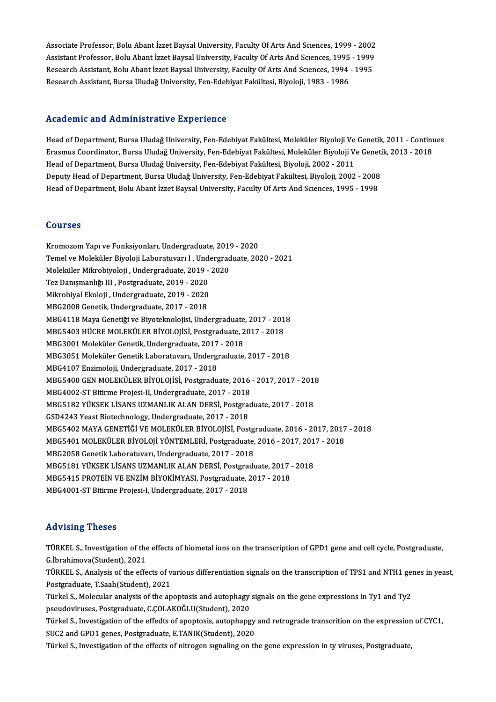Associate Professor, Bolu Abant İzzet Baysal University, Faculty Of Arts And Sciences, 1999 - 2002<br>Assistant Professor, Bolu Abant İzzet Baysal University, Faculty Of Arts And Sciences, 1999 - 2002 Associate Professor, Bolu Abant İzzet Baysal University, Faculty Of Arts And Sciences, 1999 - 2002<br>Assistant Professor, Bolu Abant İzzet Baysal University, Faculty Of Arts And Sciences, 1995 - 1999<br>Researsh Assistant, Bolu Associate Professor, Bolu Abant İzzet Baysal University, Faculty Of Arts And Sciences, 1999 - 2002<br>Assistant Professor, Bolu Abant İzzet Baysal University, Faculty Of Arts And Sciences, 1995 - 1999<br>Research Assistant, Bolu Assistant Professor, Bolu Abant İzzet Baysal University, Faculty Of Arts And Scıences, 1995 - 1999<br>Research Assistant, Bolu Abant İzzet Baysal University, Faculty Of Arts And Scıences, 1994 - 1995<br>Research Assistant, Bursa

### Academic and Administrative Experience

Academic and Administrative Experience<br>Head of Department, Bursa Uludağ University, Fen-Edebiyat Fakültesi, Moleküler Biyoloji Ve Genetik, 2011 - Continues<br>Frasmus Coordinator, Bursa Uludağ University, Fen-Edebiyat Fakülte ricaalerine ana namminiscrative Inperience<br>Head of Department, Bursa Uludağ University, Fen-Edebiyat Fakültesi, Moleküler Biyoloji Ve Genetik, 2011 - Contini<br>Erasmus Coordinator, Bursa Uludağ University, Fen-Edebiyat Fakül Head of Department, Bursa Uludağ University, Fen-Edebiyat Fakültesi, Moleküler Biyoloji Ve<br>Erasmus Coordinator, Bursa Uludağ University, Fen-Edebiyat Fakültesi, Moleküler Biyoloji V<br>Head of Department, Bursa Uludağ Univers Erasmus Coordinator, Bursa Uludağ University, Fen-Edebiyat Fakültesi, Moleküler Biyoloji Ve Geneti<br>Head of Department, Bursa Uludağ University, Fen-Edebiyat Fakültesi, Biyoloji, 2002 - 2011<br>Deputy Head of Department, Bursa Head of Department, Bursa Uludağ University, Fen-Edebiyat Fakültesi, Biyoloji, 2002 - 2011<br>Deputy Head of Department, Bursa Uludağ University, Fen-Edebiyat Fakültesi, Biyoloji, 2002 - 2008<br>Head of Department, Bolu Abant İz Head of Department, Bolu Abant İzzet Baysal University, Faculty Of Arts And Sciences, 1995 - 1998<br>Courses

Courses<br>Kromozom Yapı ve Fonksiyonları, Undergraduate, 2019 - 2020<br>Tamel ve Meleküler Biyeleji Laberatuyan L. Undergraduate, 201 SSATSSS<br>Kromozom Yapı ve Fonksiyonları, Undergraduate, 2019 - 2020<br>Temel ve Moleküler Biyoloji Laboratuvarı I , Undergraduate, 2020 - 2021<br>Moleküler Mikrobiyoloji , Undergraduate, 2019 - 2020 Kromozom Yapı ve Fonksiyonları, Undergraduate, 2019<br>Temel ve Moleküler Biyoloji Laboratuvarı I , Undergrad<br>Moleküler Mikrobiyoloji , Undergraduate, 2019 - 2020<br>Tez Danısmanlığı III , Postaraduate, 2019 - 2020 Temel ve Moleküler Biyoloji Laboratuvarı I , Und<br>Moleküler Mikrobiyoloji , Undergraduate, 2019 -<br>Tez Danışmanlığı III , Postgraduate, 2019 - 2020<br>Mikrobiyal Ekoloji , Undergraduate, 2019 - 2020 Moleküler Mikrobiyoloji , Undergraduate, 2019 - 2020<br>Tez Danışmanlığı III , Postgraduate, 2019 - 2020<br>Mikrobiyal Ekoloji , Undergraduate, 2019 - 2020<br>MBG2008 Genetik, Undergraduate, 2017 - 2018 Mikrobiyal Ekoloji, Undergraduate, 2019 - 2020 Mikrobiyal Ekoloji , Undergraduate, 2019 - 2020<br>MBG2008 Genetik, Undergraduate, 2017 - 2018<br>MBG4118 Maya Genetiği ve Biyoteknolojisi, Undergraduate, 2017 - 2018<br>MBG5402 HÜCBE MOLEKÜLER RİYOLOJİSİ, Postanaduate, 2017 - 2018 MBG2008 Genetik, Undergraduate, 2017 - 2018<br>MBG4118 Maya Genetiği ve Biyoteknolojisi, Undergraduate, 2017 - 201<br>MBG5403 HÜCRE MOLEKÜLER BİYOLOJİSİ, Postgraduate, 2017 - 2018<br>MBG2001 Moleküler Cenetik, Undergraduate, 2017 -MBG4118 Maya Genetiği ve Biyoteknolojisi, Undergraduate<br>MBG5403 HÜCRE MOLEKÜLER BİYOLOJİSİ, Postgraduate, 2<br>MBG3001 Moleküler Genetik, Undergraduate, 2017 - 2018<br>MBG3051 Moleküler Genetik, Undergraduate, 2017 - 2018 MBG5403 HÜCRE MOLEKÜLER BİYOLOJİSİ, Postgraduate, 2017 - 2018<br>MBG3001 Moleküler Genetik, Undergraduate, 2017 - 2018<br>MBG3051 Moleküler Genetik Laboratuvarı, Undergraduate, 2017 - 2018 MBG4107Enzimoloji,Undergraduate,2017 -2018 MBG3051 Moleküler Genetik Laboratuvarı, Undergraduate, 2017 - 2018<br>MBG4107 Enzimoloji, Undergraduate, 2017 - 2018<br>MBG5400 GEN MOLEKÜLER BİYOLOJİSİ, Postgraduate, 2016 - 2017, 2017 - 2018<br>MBG4002 ST Bitinme Preisci II Under MBG4107 Enzimoloji, Undergraduate, 2017 - 2018<br>MBG5400 GEN MOLEKÜLER BİYOLOJİSİ, Postgraduate, 2016<br>MBG4002-ST Bitirme Projesi-II, Undergraduate, 2017 - 2018<br>MBG5192 VÜKSEK LİSANS UZMANLIK ALAN DERSİ, Rostgrad MBG5400 GEN MOLEKÜLER BİYOLOJİSİ, Postgraduate, 2016 - 2017, 2017 - 2011<br>MBG4002-ST Bitirme Projesi-II, Undergraduate, 2017 - 2018<br>MBG5182 YÜKSEK LİSANS UZMANLIK ALAN DERSİ, Postgraduate, 2017 - 2018<br>CSD4242 Yeast Bistschn MBG4002-ST Bitirme Projesi-II, Undergraduate, 2017 - 2018<br>MBG5182 YÜKSEK LİSANS UZMANLIK ALAN DERSİ, Postgraduate, 2017 - 2018<br>GSD4243 Yeast Biotechnology, Undergraduate, 2017 - 2018 MBG5182 YÜKSEK LİSANS UZMANLIK ALAN DERSİ, Postgraduate, 2017 - 2018<br>GSD4243 Yeast Biotechnology, Undergraduate, 2017 - 2018<br>MBG5402 MAYA GENETİĞİ VE MOLEKÜLER BİYOLOJİSİ, Postgraduate, 2016 - 2017, 2017 - 2018<br>MBG5401 MOL GSD4243 Yeast Biotechnology, Undergraduate, 2017 - 2018<br>MBG5402 MAYA GENETIĞİ VE MOLEKÜLER BİYOLOJİSİ, Postgraduate, 2016 - 2017, 2017<br>MBG5401 MOLEKÜLER BİYOLOJİ YÖNTEMLERİ, Postgraduate, 2016 - 2017, 2017 - 2018<br>MBG2058 C MBG5402 MAYA GENETİĞİ VE MOLEKÜLER BİYOLOJİSİ, Postg<br>MBG5401 MOLEKÜLER BİYOLOJİ YÖNTEMLERİ, Postgraduate,<br>MBG2058 Genetik Laboratuvarı, Undergraduate, 2017 - 2018<br>MPC5191 YÜKSEK LİSANS UZMANLIK ALAN DEPSİ, Postgradı MBG5401 MOLEKÜLER BİYOLOJİ YÖNTEMLERİ, Postgraduate, 2016 - 2017, 2017 - 2018<br>MBG2058 Genetik Laboratuvarı, Undergraduate, 2017 - 2018<br>MBG5181 YÜKSEK LİSANS UZMANLIK ALAN DERSİ, Postgraduate, 2017 - 2018 MBG2058 Genetik Laboratuvarı, Undergraduate, 2017 - 2018<br>MBG5181 YÜKSEK LİSANS UZMANLIK ALAN DERSİ, Postgraduate, 2017 -<br>MBG5415 PROTEİN VE ENZİM BİYOKİMYASI, Postgraduate, 2017 - 2018<br>MBC4001 ST Bitirme Projeci I. Undergr MBG5181 YÜKSEK LİSANS UZMANLIK ALAN DERSİ, Postgra<br>MBG5415 PROTEİN VE ENZİM BİYOKİMYASI, Postgraduate, 2<br>MBG4001-ST Bitirme Projesi-I, Undergraduate, 2017 - 2018 MBG4001-ST Bitirme Projesi-I, Undergraduate, 2017 - 2018<br>Advising Theses

TÜRKEL S., Investigation of the effects of biometal ions on the transcription of GPD1 gene and cell cycle, Postgraduate, G.İbrahimova(Student),2021 TÜRKEL S., Investigation of the effects of biometal ions on the transcription of GPD1 gene and cell cycle, Postgraduate,<br>G.İbrahimova(Student), 2021<br>TÜRKEL S., Analysis of the effects of various differentiation signals on

G.İbrahimova(Student), 2021<br>TÜRKEL S., Analysis of the effects of v<br>Postgraduate, T.Saah(Student), 2021<br>Türkel S. Molegylar analysis of the an TÜRKEL S., Analysis of the effects of various differentiation signals on the transcription of TPS1 and NTH1 genesty<br>Postgraduate, T.Saah(Student), 2021<br>Türkel S., Molecular analysis of the apoptosis and autophagy signals o

Postgraduate, T.Saah(Student), 2021<br>Türkel S., Molecular analysis of the apoptosis and autophagy<br>pseudoviruses, Postgraduate, C.ÇOLAKOĞLU(Student), 2020<br>Türkel S. Javestisation of the effects of apontasis, autophang

pseudoviruses, Postgraduate, C.ÇOLAKOĞLU(Student), 2020<br>Türkel S., Investigation of the effedts of apoptosis, autophapgy and retrograde transcrition on the expression of CYC1, SUC2 and GPD1 genes, Postgraduate, E.TANIK(Student), 2020

Türkel S., Investigation of the effects of nitrogen signaling on the gene expression in ty viruses, Postgraduate,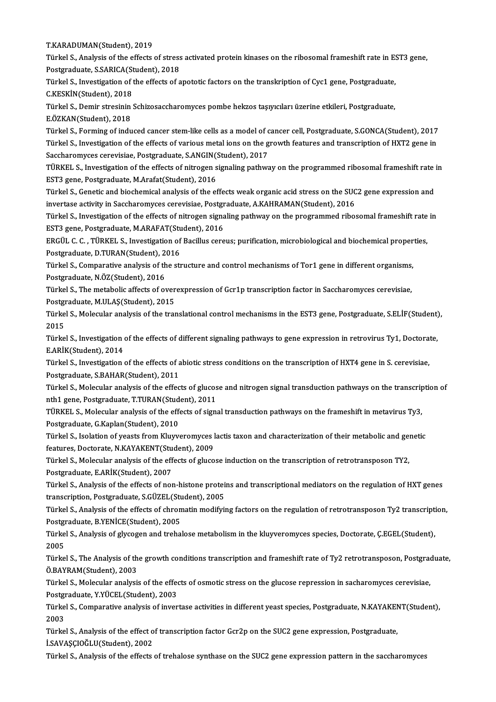### T.KARADUMAN(Student),2019

T.KARADUMAN(Student), 2019<br>Türkel S., Analysis of the effects of stress activated protein kinases on the ribosomal frameshift rate in EST3 gene,<br>Restanaduate, S.SARICA(Student), 2018 T.KARADUMAN(Student), 2019<br>Türkel S., Analysis of the effects of stress<br>Postgraduate, S.SARICA(Student), 2018<br>Türkel S. Javestisation of the effects of a Türkel S., Analysis of the effects of stress activated protein kinases on the ribosomal frameshift rate in E.<br>Postgraduate, S.SARICA(Student), 2018<br>Türkel S., Investigation of the effects of apototic factors on the transkr

Postgraduate, S.SARICA(St<br>Türkel S., Investigation of<br>C.KESKİN(Student), 2018<br>Türkel S., Domir stresinin Türkel S., Investigation of the effects of apototic factors on the transkription of Cyc1 gene, Postgraduate,<br>C.KESKİN(Student), 2018<br>Türkel S., Demir stresinin Schizosaccharomyces pombe hekzos taşıyıcıları üzerine etkileri

C.KESKİN(Student), 2018<br>Türkel S., Demir stresinin Schizosaccharomyces pombe hekzos taşıyıcıları üzerine etkileri, Postgraduate,<br>E.ÖZKAN(Student), 2018 Türkel S., Demir stresinin Schizosaccharomyces pombe hekzos taşıyıcıları üzerine etkileri, Postgraduate,<br>E.ÖZKAN(Student), 2018<br>Türkel S., Forming of induced cancer stem-like cells as a model of cancer cell, Postgraduate,

E.ÖZKAN(Student), 2018<br>Türkel S., Forming of induced cancer stem-like cells as a model of cancer cell, Postgraduate, S.GONCA(Student), 2017<br>Türkel S., Investigation of the effects of various metal ions on the growth featur Türkel S., Forming of induced cancer stem-like cells as a model of c<br>Türkel S., Investigation of the effects of various metal ions on the g<br>Saccharomyces cerevisiae, Postgraduate, S.ANGIN(Student), 2017<br>TÜRKEL S. Investiga Türkel S., Investigation of the effects of various metal ions on the growth features and transcription of HXT2 gene in<br>Saccharomyces cerevisiae, Postgraduate, S.ANGIN(Student), 2017<br>TÜRKEL S., Investigation of the effects

Saccharomyces cerevisiae, Postgraduate, S.ANGIN(<br>TÜRKEL S., Investigation of the effects of nitrogen s<br>EST3 gene, Postgraduate, M.Arafat(Student), 2016<br>Türkel S. Genetis and bioshamical analysis of the ef TÜRKEL S., Investigation of the effects of nitrogen signaling pathway on the programmed ribosomal frameshift rate<br>EST3 gene, Postgraduate, M.Arafat(Student), 2016<br>Türkel S., Genetic and biochemical analysis of the effects

EST3 gene, Postgraduate, M.Arafat(Student), 2016<br>Türkel S., Genetic and biochemical analysis of the effects weak organic acid stress on the SUC<br>invertase activity in Saccharomyces cerevisiae, Postgraduate, A.KAHRAMAN(Stude Türkel S., Genetic and biochemical analysis of the effects weak organic acid stress on the SUC2 gene expression and<br>invertase activity in Saccharomyces cerevisiae, Postgraduate, A.KAHRAMAN(Student), 2016<br>Türkel S., Investi

invertase activity in Saccharomyces cerevisiae, Postgraduate, I<br>Türkel S., Investigation of the effects of nitrogen signa<br>EST3 gene, Postgraduate, M.ARAFAT(Student), 2016<br>EPCÜL S. G., TÜRKELS, Investigation of Bogillus ser Türkel S., Investigation of the effects of nitrogen signaling pathway on the programmed ribosomal frameshift rate<br>EST3 gene, Postgraduate, M.ARAFAT(Student), 2016<br>ERGÜL C. C. , TÜRKEL S., Investigation of Bacillus cereus;

EST3 gene, Postgraduate, M.ARAFAT(Student), 2016<br>ERGÜL C. C. , TÜRKEL S., Investigation of Bacillus cer<br>Postgraduate, D.TURAN(Student), 2016 ERGÜL C. C., TÜRKEL S., Investigation of Bacillus cereus; purification, microbiological and biochemical properties,<br>Postgraduate, D.TURAN(Student), 2016<br>Türkel S., Comparative analysis of the structure and control mechanis

Postgraduate, D.TURAN(Student), 2<br>Türkel S., Comparative analysis of th<br>Postgraduate, N.ÖZ(Student), 2016<br>Türkel S., The matabelis effects of ex Türkel S., Comparative analysis of the structure and control mechanisms of Tor1 gene in different organisms,<br>Postgraduate, N.ÖZ(Student), 2016<br>Türkel S., The metabolic affects of overexpression of Gcr1p transcription facto

Türkel S., The metabolic affects of overexpression of Gcr1p transcription factor in Saccharomyces cerevisiae,<br>Postgraduate, M.ULAŞ(Student), 2015 Türkel S., The metabolic affects of overexpression of Gcr1p transcription factor in Saccharomyces cerevisiae,<br>Postgraduate, M.ULAŞ(Student), 2015<br>Türkel S., Molecular analysis of the translational control mechanisms in the

Postgi<br>Türke<br>2015<br>Türke Türkel S., Molecular analysis of the translational control mechanisms in the EST3 gene, Postgraduate, S.ELİF(Student)<br>2015<br>Türkel S., Investigation of the effects of different signaling pathways to gene expression in retro

2015<br>Türkel S., Investigation<br>E.ARİK(Student), 2014<br>Türkel S., Investigation Türkel S., Investigation of the effects of different signaling pathways to gene expression in retrovirus Ty1, Doctora<br>E.ARİK(Student), 2014<br>Türkel S., Investigation of the effects of abiotic stress conditions on the transc

E.ARİK(Student), 2014<br>Türkel S., Investigation of the effects of abiotic stress conditions on the transcription of HXT4 gene in S. cerevisiae,<br>Postgraduate, S.BAHAR(Student), 2011 Türkel S., Investigation of the effects of abiotic stress conditions on the transcription of HXT4 gene in S. cerevisiae,<br>Postgraduate, S.BAHAR(Student), 2011<br>Türkel S., Molecular analysis of the effects of glucose and nitr

Postgraduate, S.BAHAR(Student), 2011<br>Türkel S., Molecular analysis of the effects of glucos<br>nth1 gene, Postgraduate, T.TURAN(Student), 2011<br>TÜRKELS. Molecular analysis of the effects of sign Türkel S., Molecular analysis of the effects of glucose and nitrogen signal transduction pathways on the transcrip<br>nth1 gene, Postgraduate, T.TURAN(Student), 2011<br>TÜRKEL S., Molecular analysis of the effects of signal tran

nth1 gene, Postgraduate, T.TURAN(Student), 2011<br>TÜRKEL S., Molecular analysis of the effects of signal transduction pathways on the frameshift in metavirus Ty3,<br>Postgraduate, G.Kaplan(Student), 2010 TÜRKEL S., Molecular analysis of the effects of signal transduction pathways on the frameshift in metavirus Ty3,<br>Postgraduate, G.Kaplan(Student), 2010<br>Türkel S., Isolation of yeasts from Kluyveromyces lactis taxon and char

Postgraduate, G.Kaplan(Student), 2010<br>Türkel S., Isolation of yeasts from Kluyveromyces l<br>features, Doctorate, N.KAYAKENT(Student), 2009<br>Türkel S. Molegylar analysis of the effects of sluge Türkel S., Isolation of yeasts from Kluyveromyces lactis taxon and characterization of their metabolic and gene<br>features, Doctorate, N.KAYAKENT(Student), 2009<br>Türkel S., Molecular analysis of the effects of glucose inducti

features, Doctorate, N.KAYAKENT(Student), 2009<br>Türkel S., Molecular analysis of the effects of glucose induction on the transcription of retrotransposon TY2,<br>Postgraduate, E.ARİK(Student), 2007

Türkel S., Analysis of the effects of non-histone proteins and transcriptional mediators on the regulation of HXT genes Postgraduate, E.ARİK(Student), 2007<br>Türkel S., Analysis of the effects of non-histone protein<br>transcription, Postgraduate, S.GÜZEL(Student), 2005<br>Türkel S. Analysis of the effects of chromatin modifyi: Türkel S., Analysis of the effects of non-histone proteins and transcriptional mediators on the regulation of HXT genes<br>transcription, Postgraduate, S.GÜZEL(Student), 2005<br>Türkel S., Analysis of the effects of chromatin mo

transcription, Postgraduate, S.GÜZEL(Student)<br>Türkel S., Analysis of the effects of chron<br>Postgraduate, B.YENİCE(Student), 2005<br>Türkel S., Analysis of glysogen and traba Türkel S., Analysis of the effects of chromatin modifying factors on the regulation of retrotransposon Ty2 transcripti<br>Postgraduate, B.YENİCE(Student), 2005<br>Türkel S., Analysis of glycogen and trehalose metabolism in the k

Postgi<br>Türke<br>2005<br>Türke Türkel S., Analysis of glycogen and trehalose metabolism in the kluyveromyces species, Doctorate, Ç.EGEL(Student),<br>2005<br>Türkel S., The Analysis of the growth conditions transcription and frameshift rate of Ty2 retrotranspo

2005<br>Türkel S., The Analysis of the growth conditions transcription and frameshift rate of Ty2 retrotransposon, Postgraduate,<br>Ö.BAYRAM(Student), 2003 Türkel S., The Analysis of the growth conditions transcription and frameshift rate of Ty2 retrotransposon, Postgrad<br>Ö.BAYRAM(Student), 2003<br>Türkel S., Molecular analysis of the effects of osmotic stress on the glucose repr

Ö.BAYRAM(Student), 2003<br>Türkel S., Molecular analysis of the effect<br>Postgraduate, Y.YÜCEL(Student), 2003<br>Türkel S. Comparative analysis of inven Türkel S., Molecular analysis of the effects of osmotic stress on the glucose repression in sacharomyces cerevisiae,<br>Postgraduate, Y.YÜCEL(Student), 2003<br>Türkel S., Comparative analysis of invertase activities in different

Postgraduate, Y.YÜCEL(Student), 2003<br>Türkel S., Comparative analysis of invertase activities in different yeast species, Postgraduate, N.KAYAKEN<br>2003<br>Türkel S., Analysis of the effect of transcription factor Gcr2p on the S Türkel S., Comparative analysis of invertase activities in different yeast species, Postgraduate, N.KAYAKEN<br>2003<br>Türkel S., Analysis of the effect of transcription factor Gcr2p on the SUC2 gene expression, Postgraduate,<br>LS

İ.SAVAŞÇIOĞLU(Student),2002

Türkel S., Analysis of the effects of trehalose synthase on the SUC2 gene expression pattern in the saccharomyces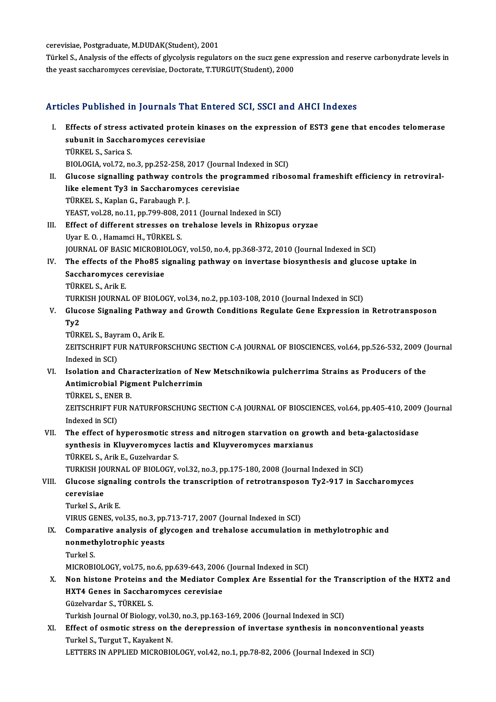cerevisiae, Postgraduate, M.DUDAK(Student), 2001

cerevisiae, Postgraduate, M.DUDAK(Student), 2001<br>Türkel S., Analysis of the effects of glycolysis regulators on the sucz gene expression and reserve carbonydrate levels in<br>the veest sessberemyses serevisies, Desterate, T.T cerevisiae, Postgraduate, M.DUDAK(Student), 2001<br>Türkel S., Analysis of the effects of glycolysis regulators on the sucz gene e<br>the yeast saccharomyces cerevisiae, Doctorate, T.TURGUT(Student), 2000

# the yeast saccharomyces cerevisiae, Doctorate, T.TURGUT(Student), 2000<br>Articles Published in Journals That Entered SCI, SSCI and AHCI Indexes

rticles Published in Journals That Entered SCI, SSCI and AHCI Indexes<br>I. Effects of stress activated protein kinases on the expression of EST3 gene that encodes telomerase<br>subunit in Sassharemyses sarewisiae steed a mondato in Science and the mondatored in Saccharomyces cerevisiae<br>subunit in Saccharomyces cerevisiae<br>TipMELS Sarice S Effects of stress a<br>subunit in Saccha<br>TÜRKEL S., Sarica S.<br>PIOLOCLA vel 32 na subunit in Saccharomyces cerevisiae<br>TÜRKEL S., Sarica S.<br>BIOLOGIA, vol.72, no.3, pp.252-258, 2017 (Journal Indexed in SCI) TÜRKEL S., Sarica S.<br>BIOLOGIA, vol.72, no.3, pp.252-258, 2017 (Journal Indexed in SCI)<br>II. Glucose signalling pathway controls the programmed ribosomal frameshift efficiency in retroviral-<br>like element Ty? in Seccharemyses BIOLOGIA, vol.72, no.3, pp.252-258, 2017 (Journal In<br>Glucose signalling pathway controls the progr<br>like element Ty3 in Saccharomyces cerevisiae<br>T<sup>inver</sup> S. Kaplan G. Farsbaugh B. L Glucose signalling pathway contr<br>like element Ty3 in Saccharomyc<br>TÜRKEL S., Kaplan G., Farabaugh P. J.<br>VEAST vol 28 no 11 nn 799,909,201 like element Ty3 in Saccharomyces cerevisiae<br>TÜRKEL S., Kaplan G., Farabaugh P. J.<br>YEAST, vol.28, no.11, pp.799-808, 2011 (Journal Indexed in SCI) III. Effect of different stresses on trehalose levels in Rhizopus oryzae Uyar E.O., Hamamci H., TÜRKEL S. JOURNAL OF BASIC MICROBIOLOGY, vol.50, no.4, pp.368-372, 2010 (Journal Indexed in SCI) Uyar E. O. , Hamamci H., TÜRKEL S.<br>JOURNAL OF BASIC MICROBIOLOGY, vol.50, no.4, pp.368-372, 2010 (Journal Indexed in SCI)<br>IV. The effects of the Pho85 signaling pathway on invertase biosynthesis and glucose uptake in<br>Sessh **JOURNAL OF BASIC MICROBIC<br>The effects of the Pho85 s:<br>Saccharomyces cerevisiae<br>TÜBKELS Arik E** The effects of th<br>Saccharomyces<br>TÜRKEL S., Arik E.<br>TURKEL JOURNAL Saccharomyces cerevisiae<br>TÜRKEL S., Arik E.<br>TURKISH JOURNAL OF BIOLOGY, vol.34, no.2, pp.103-108, 2010 (Journal Indexed in SCI) TÜRKEL S., Arik E.<br>TURKISH JOURNAL OF BIOLOGY, vol.34, no.2, pp.103-108, 2010 (Journal Indexed in SCI)<br>V. Glucose Signaling Pathway and Growth Conditions Regulate Gene Expression in Retrotransposon<br>Ty? TURI<br>Gluc<br>Ty2<br>Tür Glucose Signaling Pathway<br>Ty2<br>TÜRKEL S., Bayram O., Arik E.<br>ZEITSCHPIET EUP NATUREOL Ty2<br>TÜRKEL S., Bayram O., Arik E.<br>ZEITSCHRIFT FUR NATURFORSCHUNG SECTION C-A JOURNAL OF BIOSCIENCES, vol.64, pp.526-532, 2009 (Journal TÜRKEL S., Bayı<br>ZEITSCHRIFT FI<br>Indexed in SCI)<br>Isolation and ZEITSCHRIFT FUR NATURFORSCHUNG SECTION C-A JOURNAL OF BIOSCIENCES, vol.64, pp.526-532, 2009 ()<br>Indexed in SCI)<br>VI. Isolation and Characterization of New Metschnikowia pulcherrima Strains as Producers of the<br>Antimianabial B Indexed in SCI)<br>Isolation and Characterization of Ne<br>Antimicrobial Pigment Pulcherrimin<br>T<sup>üpkel S. ENER P</sup> **Isolation and Cha<br>Antimicrobial Pig<br>TÜRKEL S., ENER B.<br>ZEITSCHDIET EUD A** Antimicrobial Pigment Pulcherrimin<br>TÜRKEL S., ENER B.<br>ZEITSCHRIFT FUR NATURFORSCHUNG SECTION C-A JOURNAL OF BIOSCIENCES, vol.64, pp.405-410, 2009 (Journal TÜRKEL S., ENE<br>ZEITSCHRIFT FI<br>Indexed in SCI)<br>The effect of h ZEITSCHRIFT FUR NATURFORSCHUNG SECTION C-A JOURNAL OF BIOSCIENCES, vol.64, pp.405-410, 2009<br>Indexed in SCI)<br>VII. The effect of hyperosmotic stress and nitrogen starvation on growth and beta-galactosidase<br>sunthosis in Klutt Indexed in SCI)<br>The effect of hyperosmotic stress and nitrogen starvation on gro<br>synthesis in Kluyveromyces lactis and Kluyveromyces marxianus<br>T<sup>üpver S. Arik E. Curelyordor S</sup> The effect of hyperosmotic streaty<br>hypothesis in Kluyveromyces la<br>TÜRKEL S., Arik E., Guzelvardar S.<br>TURKEH JOURNAL OF BIOLOCY : synthesis in Kluyveromyces lactis and Kluyveromyces marxianus<br>TÜRKEL S., Arik E., Guzelvardar S.<br>TURKISH JOURNAL OF BIOLOGY, vol.32, no.3, pp.175-180, 2008 (Journal Indexed in SCI)<br>Clusese signaling sentreks the transcript TÜRKEL S., Arik E., Guzelvardar S.<br>TURKISH JOURNAL OF BIOLOGY, vol.32, no.3, pp.175-180, 2008 (Journal Indexed in SCI)<br>VIII. Glucose signaling controls the transcription of retrotransposon Ty2-917 in Saccharomyces TURKISH JO<br>Glucose sig<br>cerevisiae<br>Turkel S. Ar **Glucose signali<br>cerevisiae<br>Turkel S., Arik E.**<br>VIPUS CENES ve cerevisiae<br>Turkel S., Arik E.<br>VIRUS GENES, vol.35, no.3, pp.713-717, 2007 (Journal Indexed in SCI) Turkel S., Arik E.<br>VIRUS GENES, vol.35, no.3, pp.713-717, 2007 (Journal Indexed in SCI)<br>IX. Comparative analysis of glycogen and trehalose accumulation in methylotrophic and<br>nonmethylotrophic yeasts. VIRUS GENES, vol.35, no.3, pp.<br>Comparative analysis of gl<br>nonmethylotrophic yeasts<br>Turkel S Compara<br>nonmetl<br>Turkel S.<br>MICPOPI nonmethylotrophic yeasts<br>Turkel S.<br>MICROBIOLOGY, vol.75, no.6, pp.639-643, 2006 (Journal Indexed in SCI)<br>Non histone Preteins and the Medister Compley, Are Essential fo Turkel S.<br>MICROBIOLOGY, vol.75, no.6, pp.639-643, 2006 (Journal Indexed in SCI)<br>X. Non histone Proteins and the Mediator Complex Are Essential for the Transcription of the HXT2 and<br>UYT4 Cones in Sessbare wese sensuisies MICROBIOLOGY, vol.75, no.6, pp.639-643, 2006<br>Non histone Proteins and the Mediator Containstance in Saccharomyces cerevisiae Non histone Proteins a:<br>HXT4 Genes in Sacchar<br>Güzelvardar S., TÜRKEL S.<br>Turkish Journal Of Biology HXT4 Genes in Saccharomyces cerevisiae<br>Güzelvardar S., TÜRKEL S.<br>Turkish Journal Of Biology, vol.30, no.3, pp.163-169, 2006 (Journal Indexed in SCI)<br>Effect of cametic stress on the depennession of investors sunthesis in no Güzelvardar S., TÜRKEL S.<br>Turkish Journal Of Biology, vol.30, no.3, pp.163-169, 2006 (Journal Indexed in SCI)<br>XI. Effect of osmotic stress on the derepression of invertase synthesis in nonconventional yeasts<br>Turkel S. Turg Turkish Journal Of Biology, vol.3<br>Effect of osmotic stress on t<br>Turkel S., Turgut T., Kayakent N.<br>LETTEDS IN APPLIED MICROPIC Effect of osmotic stress on the derepression of invertase synthesis in nonconven<br>Turkel S., Turgut T., Kayakent N.<br>LETTERS IN APPLIED MICROBIOLOGY, vol.42, no.1, pp.78-82, 2006 (Journal Indexed in SCI)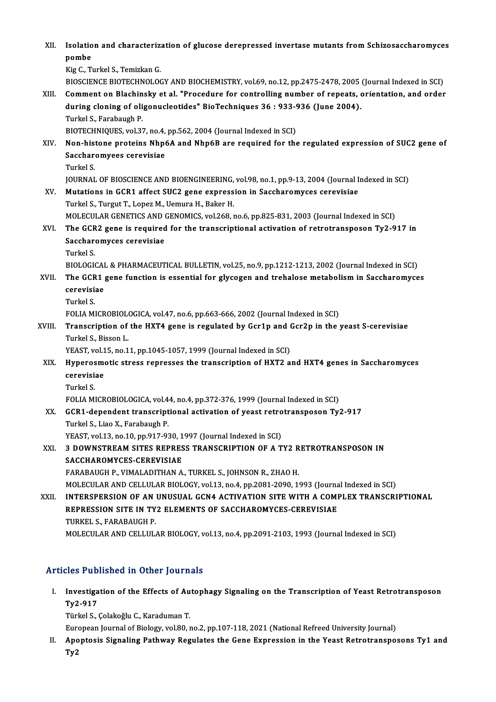XII. Isolation and characterization of glucose derepressed invertase mutants from Schizosaccharomyces<br>Rembe Isolatio<br>pombe<br><sup>Vic C</sup> T pombe<br>Kig C., Turkel S., Temizkan G. BIOSCIENCE BIOTECHNOLOGY AND BIOCHEMISTRY, vol.69, no.12, pp.2475-2478, 2005 (Journal Indexed in SCI) Kig C., Turkel S., Temizkan G.<br>BIOSCIENCE BIOTECHNOLOGY AND BIOCHEMISTRY, vol.69, no.12, pp.2475-2478, 2005 (Journal Indexed in SCI)<br>XIII. Comment on Blachinsky et al. "Procedure for controlling number of repeats, orientat BIOSCIENCE BIOTECHNOLOGY AND BIOCHEMISTRY, vol.69, no.12, pp.2475-2478, 2005<br>Comment on Blachinsky et al. "Procedure for controlling number of repeats, or<br>during cloning of oligonucleotides" BioTechniques 36 : 933-936 (Jun Comment on Blachin<br>during cloning of oli<br>Turkel S., Farabaugh P.<br>PLOTECHNIOUES vol 23 during cloning of oligonucleotides" BioTechniques 36 : 933-936 (June 2004).<br>Turkel S., Farabaugh P.<br>BIOTECHNIQUES, vol.37, no.4, pp.562, 2004 (Journal Indexed in SCI) Turkel S., Farabaugh P.<br>BIOTECHNIQUES, vol.37, no.4, pp.562, 2004 (Journal Indexed in SCI)<br>XIV. Non-histone proteins Nhp6A and Nhp6B are required for the regulated expression of SUC2 gene of<br>Sacebare wees carevisies BIOTECHNIQUES, vol.37, no.4,<br>Non-histone proteins Nhpt<br>Saccharomyees cerevisiae<br>Turkel S Non-hist<br>Sacchar<br>Turkel S.<br>JOUPNAJ Saccharomyees cerevisiae<br>Turkel S.<br>JOURNAL OF BIOSCIENCE AND BIOENGINEERING, vol.98, no.1, pp.9-13, 2004 (Journal Indexed in SCI) XV. Mutations in GCR1 affect SUC2 gene expression in Saccharomyces cerevisiae Turkel S., Turgut T., Lopez M., Uemura H., Baker H. Mutations in GCR1 affect SUC2 gene expression in Saccharomyces cerevisiae<br>Turkel S., Turgut T., Lopez M., Uemura H., Baker H.<br>MOLECULAR GENETICS AND GENOMICS, vol.268, no.6, pp.825-831, 2003 (Journal Indexed in SCI)<br>The GC Turkel S., Turgut T., Lopez M., Uemura H., Baker H.<br>MOLECULAR GENETICS AND GENOMICS, vol.268, no.6, pp.825-831, 2003 (Journal Indexed in SCI)<br>XVI. The GCR2 gene is required for the transcriptional activation of retrotr MOLECULAR GENETICS AND<br>The GCR2 gene is required<br>Saccharomyces cerevisiae<br>Turkel S The GCR2 gene is required for the transcriptional activation of retrotransposon Ty2-917 in Saccharomyces cerevisiae<br>Turkel S. BIOLOGICAL & PHARMACEUTICAL BULLETIN, vol.25, no.9, pp.1212-1213, 2002 (Journal Indexed in SCI) Turkel S.<br>BIOLOGICAL & PHARMACEUTICAL BULLETIN, vol.25, no.9, pp.1212-1213, 2002 (Journal Indexed in SCI)<br>XVII. The GCR1 gene function is essential for glycogen and trehalose metabolism in Saccharomyces<br>conquisiae. BIOLOGICAI<br>The GCR1<br>cerevisiae<br>Turkel S The GCR<br>cerevisi:<br>Turkel S.<br>EOLLA MI cerevisiae<br>Turkel S.<br>FOLIA MICROBIOLOGICA, vol.47, no.6, pp.663-666, 2002 (Journal Indexed in SCI)<br>Transcription of the HYT4 gane is regulated by Cer1n and Cer2n in the l Turkel S.<br>FOLIA MICROBIOLOGICA, vol.47, no.6, pp.663-666, 2002 (Journal Indexed in SCI)<br>XVIII. Transcription of the HXT4 gene is regulated by Gcr1p and Gcr2p in the yeast S-cerevisiae<br>Turkel S. Bissen I FOLIA MICROBIOL<br>Transcription of<br>Turkel S., Bisson L.<br>YEAST vol 15, no 1 Transcription of the HXT4 gene is regulated by Gcr1p and (<br>Turkel S., Bisson L.<br>YEAST, vol.15, no.11, pp.1045-1057, 1999 (Journal Indexed in SCI)<br>Hunoresmotis stress represses the transcription of HYT2.2. Turkel S., Bisson L.<br>YEAST, vol.15, no.11, pp.1045-1057, 1999 (Journal Indexed in SCI)<br>XIX. Hyperosmotic stress represses the transcription of HXT2 and HXT4 genes in Saccharomyces<br>consulsias YEAST, vol.1<br><mark>Hyperosm</mark><br>cerevisiae<br><sup>Turkol S</sup> Hyperos<br>cerevisi:<br>Turkel S.<br>EOLLA MI cerevisiae<br>Turkel S.<br>FOLIA MICROBIOLOGICA, vol.44, no.4, pp.372-376, 1999 (Journal Indexed in SCI)<br>SCR1, dependent transcriptional estivation of weast retratranspesson Ty Turkel S.<br>FOLIA MICROBIOLOGICA, vol.44, no.4, pp.372-376, 1999 (Journal Indexed in SCI)<br>XX. GCR1-dependent transcriptional activation of yeast retrotransposon Ty2-917<br>Turkel S. Line X. Ferebough P. FOLIA MICROBIOLOGICA, vol.4<br>GCR1-dependent transcript<br>Turkel S., Liao X., Farabaugh P.<br>VEAST. vol.13, no.10, nn.917, 93 GCR1-dependent transcriptional activation of yeast retro<br>Turkel S., Liao X., Farabaugh P.<br>YEAST, vol.13, no.10, pp.917-930, 1997 (Journal Indexed in SCI)<br>2. DOWNSTREAM SITES REPRESS TRANSCRIPTION OF A.T. Turkel S., Liao X., Farabaugh P.<br>YEAST, vol.13, no.10, pp.917-930, 1997 (Journal Indexed in SCI)<br>XXI. 3 DOWNSTREAM SITES REPRESS TRANSCRIPTION OF A TY2 RETROTRANSPOSON IN YEAST, vol.13, no.10, pp.917-930, 1997 (Journal Indexed in SCI)<br>3 DOWNSTREAM SITES REPRESS TRANSCRIPTION OF A TY2 R<br>SACCHAROMYCES-CEREVISIAE<br>FARABAUGH P., VIMALADITHAN A., TURKEL S., JOHNSON R., ZHAO H. 3 DOWNSTREAM SITES REPRESS TRANSCRIPTION OF A TY2 R<br>SACCHAROMYCES-CEREVISIAE<br>FARABAUGH P., VIMALADITHAN A., TURKEL S., JOHNSON R., ZHAO H.<br>MOLECIU AR AND CELLUI AR BIOLOCY vol.12 no.4 nn.2091-2000-11 MOLECULARANDCELLULARBIOLOGY,vol.13,no.4,pp.2081-2090,1993 (Journal Indexed inSCI) FARABAUGH P., VIMALADITHAN A., TURKEL S., JOHNSON R., ZHAO H.<br>MOLECULAR AND CELLULAR BIOLOGY, vol.13, no.4, pp.2081-2090, 1993 (Journal Indexed in SCI)<br>XXII. INTERSPERSION OF AN UNUSUAL GCN4 ACTIVATION SITE WITH A COMPLEX MOLECULAR AND CELLULAR BIOLOGY, vol.13, no.4, pp.2081-2090, 1993 (Journa<br>INTERSPERSION OF AN UNUSUAL GCN4 ACTIVATION SITE WITH A COMI<br>REPRESSION SITE IN TY2 ELEMENTS OF SACCHAROMYCES-CEREVISIAE<br>TIBYELS FARARAUCH B INTERSPERSION OF AN<br>REPRESSION SITE IN TY<br>TURKEL S., FARABAUGH P.<br>MOLECULAP AND CELLIU REPRESSION SITE IN TY2 ELEMENTS OF SACCHAROMYCES-CEREVISIAE<br>TURKEL S., FARABAUGH P.<br>MOLECULAR AND CELLULAR BIOLOGY, vol.13, no.4, pp.2091-2103, 1993 (Journal Indexed in SCI)

## Articles Published in Other Journals

rticles Published in Other Journals<br>I. Investigation of the Effects of Autophagy Signaling on the Transcription of Yeast Retrotransposon<br>Ty? 017 Investiga<br>Ty2-917<br>Türkel S Investigation of the Effects of Au<br>Ty2-917<br>Türkel S., Çolakoğlu C., Karaduman T.<br>European Journal of Biology val 80 x **Ty2-917**<br>Türkel S., Çolakoğlu C., Karaduman T.<br>European Journal of Biology, vol.80, no.2, pp.107-118, 2021 (National Refreed University Journal)<br>Anentesis Signaling Pathway Posulates the Cane Eunnessian in the Yeast Petro

Türkel S., Çolakoğlu C., Karaduman T.<br>European Journal of Biology, vol.80, no.2, pp.107-118, 2021 (National Refreed University Journal)<br>II. Apoptosis Signaling Pathway Regulates the Gene Expression in the Yeast Retrotr Euro<br>Apo<br>Ty2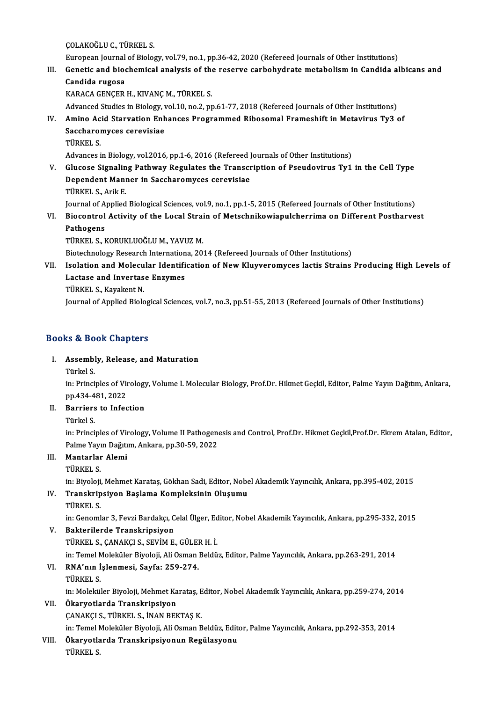ÇOLAKOĞLUC.,TÜRKEL S.

European Journal of Biology, vol.79, no.1, pp.36-42, 2020 (Refereed Journals of Other Institutions)

COLAKOĞLU C., TÜRKEL S.<br>European Journal of Biology, vol.79, no.1, pp.36-42, 2020 (Refereed Journals of Other Institutions)<br>III. Genetic and biochemical analysis of the reserve carbohydrate metabolism in Candida albica European Journal<br>Genetic and bioo<br>Candida rugosa<br>KARACA CENCED Genetic and biochemical analysis of the<br>Candida rugosa<br>KARACA GENÇER H., KIVANÇ M., TÜRKEL S.<br>Advanced Studies in Biology vel 10, no 2, nr Candida rugosa<br>KARACA GENÇER H., KIVANÇ M., TÜRKEL S.<br>Advanced Studies in Biology, vol.10, no.2, pp.61-77, 2018 (Refereed Journals of Other Institutions)

KARACA GENÇER H., KIVANÇ M., TÜRKEL S.<br>Advanced Studies in Biology, vol.10, no.2, pp.61-77, 2018 (Refereed Journals of Other Institutions)<br>IV. Amino Acid Starvation Enhances Programmed Ribosomal Frameshift in Metavirus Ty3 Advanced Studies in Biology, v<br>Amino Acid Starvation Enh<br>Saccharomyces cerevisiae<br>Tüpket s Amino Ac<br>Saccharol<br>TÜRKEL S.<br>Advances i Saccharomyces cerevisiae<br>TÜRKEL S.<br>Advances in Biology, vol.2016, pp.1-6, 2016 (Refereed Journals of Other Institutions)

TÜRKEL S.<br>Advances in Biology, vol.2016, pp.1-6, 2016 (Refereed Journals of Other Institutions)<br>V. Glucose Signaling Pathway Regulates the Transcription of Pseudovirus Ty1 in the Cell Type<br>Dependent Manner in Seccharemyses Advances in Biology, vol.2016, pp.1-6, 2016 (Refereed J<br>Glucose Signaling Pathway Regulates the Transcr<br>Dependent Manner in Saccharomyces cerevisiae<br>T<sup>üpver</sup> S. Arik F Glucose Signalin<br>Dependent Man<br>TÜRKEL S., Arik E.<br>Journal of Annlied Dependent Manner in Saccharomyces cerevisiae<br>TÜRKEL S., Arik E.<br>Journal of Applied Biological Sciences, vol.9, no.1, pp.1-5, 2015 (Refereed Journals of Other Institutions)<br>Piocontrol Activity of the Local Strain of Metashn TÜRKEL S., Arik E.<br>Journal of Applied Biological Sciences, vol.9, no.1, pp.1-5, 2015 (Refereed Journals of Other Institutions)<br>VI. Biocontrol Activity of the Local Strain of Metschnikowiapulcherrima on Different Postha

**Journal of A<br>Biocontrol<br>Pathogens<br>Tüpket S. L** VI. Biocontrol Activity of the Local Strain of Metschnikowiapulcherrima on Different Postharvest<br>Pathogens<br>TÜRKEL S., KORUKLUOĞLU M., YAVUZ M.

Biotechnology Research Internationa, 2014 (Refereed Journals of Other Institutions)

TÜRKEL S., KORUKLUOĞLU M., YAVUZ M.<br>Biotechnology Research Internationa, 2014 (Refereed Journals of Other Institutions)<br>VII. Isolation and Molecular Identification of New Kluyveromyces lactis Strains Producing High Lev Biotechnology Research Internation<br>Isolation and Molecular Identifi<br>Lactase and Invertase Enzymes<br>T<sup>üpkELS</sup> Kavaliont N Isolation and Molecu<br>Lactase and Invertas<br>TÜRKEL S., Kayakent N.<br>Journal of Annlied Biole Lactase and Invertase Enzymes<br>TÜRKEL S., Kayakent N.<br>Journal of Applied Biological Sciences, vol.7, no.3, pp.51-55, 2013 (Refereed Journals of Other Institutions)

### Books&Book Chapters

# ooks & Book Chapters<br>I. Assembly, Release, and Maturation<br>Türkel S Assemble<br>Assemble<br>Türkel S.

Türkel S.<br>in: Principles of Virology, Volume I. Molecular Biology, Prof.Dr. Hikmet Geçkil, Editor, Palme Yayın Dağıtım, Ankara, Türkel S.<br>in: Principles of Vir<br>pp.434-481, 2022<br>Bourious to Infos pp 434<mark>-4</mark><br>Barriers<br>Türkel S.<br>in: <sup>Dringi</sup>

# II. Barriers to Infection<br>Türkel S.

Barriers to Infection<br>Türkel S.<br>in: Principles of Virology, Volume II Pathogenesis and Control, Prof.Dr. Hikmet Geçkil,Prof.Dr. Ekrem Atalan, Editor,<br>Palme Yaum Değitim, Ankara, np.30,50,3033 Türkel S.<br>in: Principles of Virology, Volume II Pathogen<br>Palme Yayın Dağıtım, Ankara, pp.30-59, 2022<br>Mantarlar Alemi in: Principles of Vir<br>Palme Yayın Dağıtı<br>III. **Mantarlar Alemi** Palme Yayı<br><mark>Mantarlar</mark><br>TÜRKEL S.<br>in Biyoloji

Mantarlar Alemi<br>TÜRKEL S.<br>in: Biyoloji, Mehmet Karataş, Gökhan Sadi, Editor, Nobel Akademik Yayıncılık, Ankara, pp.395-402, 2015<br>Transkrinsiyon Baslama Kompleksinin Olysumu

# TÜRKEL S.<br>in: Biyoloji, Mehmet Karataş, Gökhan Sadi, Editor, Nob<br>IV. Transkripsiyon Başlama Kompleksinin Oluşumu<br>TÜRKEL S.

in: Biyoloji<br><mark>Transkrip</mark><br>TÜRKEL S.<br>in: Conoml

Transkripsiyon Başlama Kompleksinin Oluşumu<br>TÜRKEL S.<br>in: Genomlar 3, Fevzi Bardakçı, Celal Ülger, Editor, Nobel Akademik Yayıncılık, Ankara, pp.295-332, 2015<br>Pakterilarda Transkrinsiyon

# TÜRKEL S.<br>in: Genomlar 3, Fevzi Bardakçı, C<br>V. Bakterilerde Transkripsiyon<br>TÜRKEL S. CANAKÇI S. SEVİM E

in: Genomlar 3, Fevzi Bardakçı, Celal Ülger, Ed<br><mark>Bakterilerde Transkripsiyon</mark><br>TÜRKEL S., ÇANAKÇI S., SEVİM E., GÜLER H. İ.<br>in: Temel Moleküler Biyeleji, Ali Osman Baldü

Bakterilerde Transkripsiyon<br>TÜRKEL S., ÇANAKÇI S., SEVİM E., GÜLER H. İ.<br>in: Temel Moleküler Biyoloji, Ali Osman Beldüz, Editor, Palme Yayıncılık, Ankara, pp.263-291, 2014<br>P.N.A'nın İslanmasi, Sayfa; 259, 274

# TÜRKEL S., ÇANAKÇI S., SEVİM E., GÜLER H. İ.<br>in: Temel Moleküler Biyoloji, Ali Osman Beldü<br>VI. **RNA'nın İşlenmesi, Sayfa: 259-274.**<br>TÜRKEL S. in: Temel M<br><mark>RNA'nın İ</mark><br>TÜRKEL S.<br>in: Molekül RNA'nın İşlenmesi, Sayfa: 259-274.<br>TÜRKEL S.<br>in: Moleküler Biyoloji, Mehmet Karataş, Editor, Nobel Akademik Yayıncılık, Ankara, pp.259-274, 2014<br>Ökanyatlarda Transkrinsiyan

# VII. Ökaryotlarda Transkripsiyon<br>CANAKÇI S., TÜRKEL S., İNAN BEKTAŞ K. in: Moleküler Biyoloji, Mehmet Karataş, E<br><mark>Ökaryotlarda Transkripsiyon</mark><br>ÇANAKÇI S., TÜRKEL S., İNAN BEKTAŞ K.<br>in: Temel Moleküler Biyoloji, Ali Osman B

in: Temel Moleküler Biyoloji, Ali Osman Beldüz, Editor, Palme Yayıncılık, Ankara, pp.292-353, 2014

VI I. Ökaryotlarda Transkripsiyonun Regülasyonu in: Temel M<br><mark>Ökaryotl</mark>a<br>TÜRKEL S.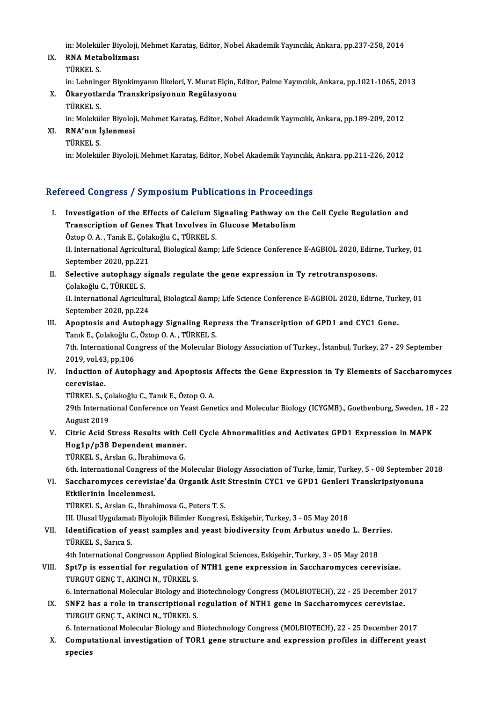in: Moleküler Biyoloji, Mehmet Karataş, Editor, Nobel Akademik Yayıncılık, Ankara, pp.237-258, 2014<br>PNA Metabelizması

IX. RNA Metabolizması<br>TÜRKEL S. in: Molekül<br>**RNA Meta<br>TÜRKEL S.**<br>in: Lebning

RNA Metabolizması<br>TÜRKEL S.<br>in: Lehninger Biyokimyanın İlkeleri, Y. Murat Elçin, Editor, Palme Yayıncılık, Ankara, pp.1021-1065, 2013<br>Ökanyatlarda Transkrinsiyanın Pasülasyanıı

## X. Ökaryotlarda Transkripsiyonun Regülasyonu in: Lehning<br><mark>Ökaryotla</mark><br>TÜRKEL S.<br>in: Molokül Ökaryotlarda Transkripsiyonun Regülasyonu<br>TÜRKEL S.<br>in: Moleküler Biyoloji, Mehmet Karataş, Editor, Nobel Akademik Yayıncılık, Ankara, pp.189-209, 2012<br>PNA'nın İslanmasi

in: Molekül<br><mark>RNA'nın İ</mark><br>TÜRKEL S.<br>in: Molekül

XI. RNA'nın İşlenmesi

in: Moleküler Biyoloji, Mehmet Karataş, Editor, Nobel Akademik Yayıncılık, Ankara, pp.211-226, 2012

## Refereed Congress / Symposium Publications in Proceedings

efereed Congress / Symposium Publications in Proceedings<br>I. Investigation of the Effects of Calcium Signaling Pathway on the Cell Cycle Regulation and<br>Transgription of Cones That Involves in Clusses Mataboliam Investigation of the Effects of Calcium Signaling Pathway on t<br>Transcription of Genes That Involves in Glucose Metabolism Investigation of the Effects of Calcium S<br>Transcription of Genes That Involves in<br>Öztop O.A., Tanık E., Çolakoğlu C., TÜRKEL S.<br>II. International Agricultural Biological Semn

Transcription of Genes That Involves in Glucose Metabolism<br>Öztop O. A. , Tanık E., Çolakoğlu C., TÜRKEL S.<br>II. International Agricultural, Biological &amp; Life Science Conference E-AGBIOL 2020, Edirne, Turkey, 01<br>Sentembe Öztop O. A. , Tanık E., Çola<br>II. International Agricultu<br>September 2020, pp.221<br>Selective autenhesu si II. International Agricultural, Biological & Life Science Conference E-AGBIOL 2020, Edirn<br>September 2020, pp.221<br>II. Selective autophagy signals regulate the gene expression in Ty retrotransposons.

September 2020, pp.221<br>II. Selective autophagy signals regulate the gene expression in Ty retrotransposons.<br>Colakoğlu C., TÜRKEL S. Selective autophagy signals regulate the gene expression in Ty retrotransposons.<br>Çolakoğlu C., TÜRKEL S.<br>II. International Agricultural, Biological &amp; Life Science Conference E-AGBIOL 2020, Edirne, Turkey, 01<br>Sentember

Colakoğlu C., TÜRKEL S.<br>II. International Agricultu<br>September 2020, pp.224<br>Anontosis and Autonh II. International Agricultural, Biological & Life Science Conference E-AGBIOL 2020, Edirne, Turl<br>September 2020, pp.224<br>III. Apoptosis and Autophagy Signaling Repress the Transcription of GPD1 and CYC1 Gene.<br>Taply E. C

September 2020, pp.224<br>Apoptosis and Autophagy Signaling Rep<br>Tanık E., Çolakoğlu C., Öztop O.A. , TÜRKEL S.<br>7th International Congrees of the Melegular l Apoptosis and Autophagy Signaling Repress the Transcription of GPD1 and CYC1 Gene.<br>Tanık E., Çolakoğlu C., Öztop O. A. , TÜRKEL S.<br>7th. International Congress of the Molecular Biology Association of Turkey., İstanbul, Turk Tanık E., Çolakoğlu C.<br>7th. International Co.<br>2019, vol.43, pp.106<br>Industion of Auton

Tth. International Congress of the Molecular Biology Association of Turkey, İstanbul, Turkey, 27 - 29 September<br>2019, vol.43, pp.106<br>IV. Induction of Autophagy and Apoptosis Affects the Gene Expression in Ty Elements of Sa

2019, vol.43, pp.106<br>IV. Induction of Autophagy and Apoptosis Affects the Gene Expression in Ty Elements of Saccharomyces<br>cerevisiae. Induction of Autophagy and Apoptosis<br>cerevisiae.<br>TÜRKEL S., Çolakoğlu C., Tanık E., Öztop O. A.<br>20th International Conference on Veset Cons

29th International Conference on Yeast Genetics and Molecular Biology (ICYGMB)., Goethenburg, Sweden, 18 - 22<br>August 2019 TÜRKEL S., Ço<br>29th Internat<br>August 2019<br>Citric Acid S 29th International Conference on Yeast Genetics and Molecular Biology (ICYGMB)., Goethenburg, Sweden, 18<br>August 2019<br>V. Citric Acid Stress Results with Cell Cycle Abnormalities and Activates GPD1 Expression in MAPK<br>Heg1n (

# August 2019<br>Citric Acid Stress Results with C<br>Hog1p/p38 Dependent manner.<br>T<sup>üpver</sup> S. Arska G. İhrabimeva G. Citric Acid Stress Results with C<br>Hog1p/p38 Dependent manner.<br>TÜRKEL S., Arslan G., İbrahimova G.<br>Eth International Congress of the M Hog1p/p38 Dependent manner.<br>TÜRKEL S., Arslan G., İbrahimova G.<br>6th. International Congress of the Molecular Biology Association of Turke, İzmir, Turkey, 5 - 08 September 2018<br>Sassharomuses serevisiae'da Organik Asit Stres

TÜRKEL S., Arslan G., İbrahimova G.<br>6th. International Congress of the Molecular Biology Association of Turke, İzmir, Turkey, 5 - 08 September<br>1991 - VI. Saccharomyces cerevisiae'da Organik Asit Stresinin CYC1 ve GPD1 Genl 6th. International Congress<br>Saccharomyces cerevisi<br>Etkilerinin İncelenmesi.<br>Tüpket S. Arslan C. İbrah VI. Saccharomyces cerevisiae'da Organik Asit Stresinin CYC1 ve GPD1 Genleri Transkripsiyonuna<br>Etkilerinin İncelenmesi.<br>TÜRKEL S., Arslan G., İbrahimova G., Peters T. S.

III. Ulusal Uygulamalı Biyolojik Bilimler Kongresi, Eskişehir, Turkey, 3 - 05 May 2018

TÜRKEL S., Arslan G., İbrahimova G., Peters T. S.<br>III. Ulusal Uygulamalı Biyolojik Bilimler Kongresi, Eskişehir, Turkey, 3 - 05 May 2018<br>VII. Identification of yeast samples and yeast biodiversity from Arbutus unedo L. III. Ulusal Uygulamal<br>Identification of y<br>TÜRKEL S., Sarıca S.<br>4th International Co Identification of yeast samples and yeast biodiversity from Arbutus unedo L. Berr<br>TÜRKEL S., Sarıca S.<br>4th International Congresson Applied Biological Sciences, Eskişehir, Turkey, 3 - 05 May 2018<br>Snt7n is essential for reg

TÜRKEL S., Sarıca S.<br>4th International Congresson Applied Biological Sciences, Eskişehir, Turkey, 3 - 05 May 2018<br>2018 - VIII. Spt7p is essential for regulation of NTH1 gene expression in Saccharomyces cerevisiae.<br>2019 - T 4th International Congresson Applied B<br>Spt7p is essential for regulation of<br>TURGUT GENÇ T., AKINCI N., TÜRKEL S. Spt7p is essential for regulation of NTH1 gene expression in Saccharomyces cerevisiae.<br>TURGUT GENÇ T., AKINCI N., TÜRKEL S.<br>6. International Molecular Biology and Biotechnology Congress (MOLBIOTECH), 22 - 25 December 2017<br>

TURGUT GENÇ T., AKINCI N., TÜRKEL S.<br>6. International Molecular Biology and Biotechnology Congress (MOLBIOTECH), 22 - 25 December 20<br>IX. SNF2 has a role in transcriptional regulation of NTH1 gene in Saccharomyces cerevisia 6. International Molecular Biology and I<br>SNF2 has a role in transcriptional<br>TURGUT GENÇ T., AKINCI N., TÜRKEL S. SNF2 has a role in transcriptional regulation of NTH1 gene in Saccharomyces cerevisiae.<br>TURGUT GENÇ T., AKINCI N., TÜRKEL S.<br>6. International Molecular Biology and Biotechnology Congress (MOLBIOTECH), 22 - 25 December 2017

TURGUT GENÇ T., AKINCI N., TÜRKEL S.<br>6. International Molecular Biology and Biotechnology Congress (MOLBIOTECH), 22 - 25 December 2017<br>8. Computational investigation of TOR1 gene structure and expression profiles in differ 6. Interr<br>Compu<br>species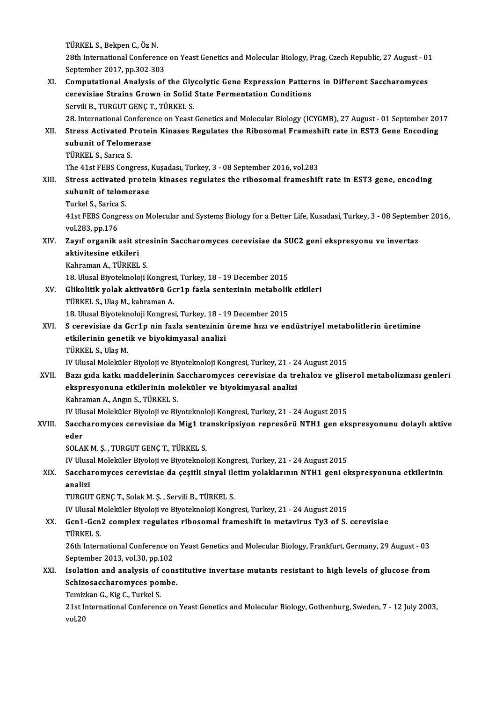TÜRKEL S.,BekpenC.,ÖzN. TÜRKEL S., Bekpen C., Öz N.<br>28th International Conference on Yeast Genetics and Molecular Biology, Prag, Czech Republic, 27 August - 01<br>Sentember 2017, pp.202.202 TÜRKEL S., Bekpen C., Öz N.<br>28th International Conference<br>September 2017, pp.302-303<br>Computational Anglusia of 28th International Conference on Yeast Genetics and Molecular Biology, Prag, Czech Republic, 27 August - 01<br>September 2017, pp.302-303<br>XI. Computational Analysis of the Glycolytic Gene Expression Patterns in Different Sacc September 2017, pp.302-303<br>Computational Analysis of the Glycolytic Gene Expression Patter:<br>cerevisiae Strains Grown in Solid State Fermentation Conditions<br>Servili B. TURCUT CENC T. TÜRKELS Computational Analysis of the Gly<br>cerevisiae Strains Grown in Solid<br>Servili B., TURGUT GENÇ T., TÜRKEL S.<br>28 International Conference on Veest cerevisiae Strains Grown in Solid State Fermentation Conditions<br>Servili B., TURGUT GENÇ T., TÜRKEL S.<br>28. International Conference on Yeast Genetics and Molecular Biology (ICYGMB), 27 August - 01 September 2017<br>Stress Asti Servili B., TURGUT GENÇ T., TÜRKEL S.<br>28. International Conference on Yeast Genetics and Molecular Biology (ICYGMB), 27 August - 01 September 20<br>XII. Stress Activated Protein Kinases Regulates the Ribosomal Frameshift rate **28. International Conferer<br>Stress Activated Protei<br>subunit of Telomerase**<br>T<sup>ipVEI S. Sarica S</sup> **Stress Activated P<br>subunit of Telome<br>TÜRKEL S., Sarıca S.<br>The 41st EEPS Cong** subunit of Telomerase<br>TÜRKEL S., Sarıca S.<br>The 41st FEBS Congress, Kuşadası, Turkey, 3 - 08 September 2016, vol.283<br>Stress, astivated protein, kinases regulates the ribesemal framechif TÜRKEL S., Sarıca S.<br>The 41st FEBS Congress, Kuşadası, Turkey, 3 - 08 September 2016, vol.283<br>XIII. Stress activated protein kinases regulates the ribosomal frameshift rate in EST3 gene, encoding<br>subunit of telemorese. The 41st FEBS Congress,<br>Stress activated protei<br>subunit of telomerase<br>Turkel S. Sarice S. Stress activated<br>subunit of telom<br>Turkel S., Sarica S.<br>41et EERS Congres subunit of telomerase<br>Turkel S., Sarica S.<br>41st FEBS Congress on Molecular and Systems Biology for a Better Life, Kusadasi, Turkey, 3 - 08 September 2016,<br>vol.283, pp.176 Turkel S., Sarica S. 41st FEBS Congress on Molecular and Systems Biology for a Better Life, Kusadasi, Turkey, 3 - 08 Septemb<br>vol.283, pp.176<br>XIV. Zayıf organik asit stresinin Saccharomyces cerevisiae da SUC2 geni ekspresyonu ve invertaz<br>altiwi vol.283, pp.176<br>Zayıf organik asit st<br>aktivitesine etkileri<br><sup>Vohnomon A. Tünvel</sup> Zayıf organik asit stre<br>aktivitesine etkileri<br>Kahraman A., TÜRKEL S.<br>18 Ulucel Biyetelmeleji I <mark>aktivitesine etkileri</mark><br>Kahraman A., TÜRKEL S.<br>18. Ulusal Biyoteknoloji Kongresi, Turkey, 18 - 19 December 2015<br>Glikelitik velak ektivetën<sup>g,</sup> Gerla fark sentarinin metebelih Kahraman A., TÜRKEL S.<br>18. Ulusal Biyoteknoloji Kongresi, Turkey, 18 - 19 December 2015<br>XV. Glikolitik yolak aktivatörü Gcr1p fazla sentezinin metabolik etkileri<br>TÜRKEL S., Ulaş M., kahraman A. 18. Ulusal Biyoteknoloji Kongres<br>Glikolitik yolak aktivatörü Go<br>TÜRKEL S., Ulaş M., kahraman A.<br>19. Ulusal Biyoteknoloji Kongres Glikolitik yolak aktivatörü Gcr1p fazla sentezinin metabolik<br>TÜRKEL S., Ulaş M., kahraman A.<br>18. Ulusal Biyoteknoloji Kongresi, Turkey, 18 - 19 December 2015<br>S. senevisine de Ger1n nin farla sentezinin üreme bızı ve en TÜRKEL S., Ulaş M., kahraman A.<br>18. Ulusal Biyoteknoloji Kongresi, Turkey, 18 - 19 December 2015<br>XVI. S cerevisiae da Gcr1p nin fazla sentezinin üreme hızı ve endüstriyel metabolitlerin üretimine<br>etkilerinin genetik ve biy 18. Ulusal Biyoteknoloji Kongresi, Turkey, 18 - 1<br>S cerevisiae da Gcr1p nin fazla sentezinin<br>etkilerinin genetik ve biyokimyasal analizi<br>T<sup>üpket S Hes M</sup> S cerevisiae da G<br>etkilerinin genet<br>TÜRKEL S., Ulaş M.<br>W. Ulucal Molaküle etkilerinin genetik ve biyokimyasal analizi<br>TÜRKEL S., Ulaş M.<br>IV Ulusal Moleküler Biyoloji ve Biyoteknoloji Kongresi, Turkey, 21 - 24 August 2015 XVII. Bazı gıda katkı maddelerinin Saccharomyces cerevisiae da trehaloz ve gliserol metabolizması genleri IV Ulusal Moleküler Biyoloji ve Biyoteknoloji Kongresi, Turkey, 21 - 2<br>Bazı gıda katkı maddelerinin Saccharomyces cerevisiae da tre<br>ekspresyonuna etkilerinin moleküler ve biyokimyasal analizi<br>Kahraman A. Angu S. Tüpket S Bazı gıda katkı maddelerinin S<br>ekspresyonuna etkilerinin mo<br>Kahraman A., Angın S., TÜRKEL S.<br>W. Ulucel Moleküler Biyeleji ve Bir Kahraman A., Angın S., TÜRKEL S.<br>IV Ulusal Moleküler Biyoloji ve Biyoteknoloji Kongresi, Turkey, 21 - 24 August 2015 Kahraman A., Angın S., TÜRKEL S.<br>IV Ulusal Moleküler Biyoloji ve Biyoteknoloji Kongresi, Turkey, 21 - 24 August 2015<br>Accharomyces cerevisiae da Mig1 transkripsiyon represörü NTH1 gen ekspresyonunu dolaylı aktive<br>Ader IV Ulu<br>Sacch<br>eder<br>SOLA Saccharomyces cerevisiae da Mig1 tra<br>eder<br>SOLAK M. Ş. , TURGUT GENÇ T., TÜRKEL S.<br>W. Ulusal Malakülar Biyalaji ve Biyatalmak <mark>eder</mark><br>SOLAK M. Ş. , TURGUT GENÇ T., TÜRKEL S.<br>IV Ulusal Moleküler Biyoloji ve Biyoteknoloji Kongresi, Turkey, 21 - 24 August 2015<br>Sosabaromuses, sarevisiae de sesitli sinyal iletim valaklarının NTH1, seni al SOLAK M. Ş. , TURGUT GENÇ T., TÜRKEL S.<br>IV Ulusal Moleküler Biyoloji ve Biyoteknoloji Kongresi, Turkey, 21 - 24 August 2015<br>XIX. Saccharomyces cerevisiae da çeşitli sinyal iletim yolaklarının NTH1 geni ekspresyonuna et IV Ulusa<br><mark>Saccha</mark><br>analizi<br>TURCUI TURGUT GENÇ T., Solak M. Ş., Servili B., TÜRKEL S. <mark>analizi</mark><br>TURGUT GENÇ T., Solak M. Ş. , Servili B., TÜRKEL S.<br>IV Ulusal Moleküler Biyoloji ve Biyoteknoloji Kongresi, Turkey, 21 - 24 August 2015<br>Cen1. Cen3. somplex.regulates.ribosomal.frameshift.in.metavinus.Tv3.of S XX. Gcn1-Gcn2 complex regulates ribosomal frameshift in metavirus Ty3 of S. cerevisiae TÜRKEL S. IV Ulusal M<br>**Gcn1-Gcn**<br>TÜRKEL S.<br>26th Intern Gcn1-Gcn2 complex regulates ribosomal frameshift in metavirus Ty3 of S. cerevisiae<br>TÜRKEL S.<br>26th International Conference on Yeast Genetics and Molecular Biology, Frankfurt, Germany, 29 August - 03<br>Sentember 2012, vol 20, TÜRKEL S.<br>26th International Conference of<br>September 2013, vol.30, pp.102<br>Isolation and analysis of son 26th International Conference on Yeast Genetics and Molecular Biology, Frankfurt, Germany, 29 August - 03<br>September 2013, vol.30, pp.102<br>XXI. Isolation and analysis of constitutive invertase mutants resistant to high level September 2013, vol.30, pp.102<br>Isolation and analysis of cons<br>Schizosaccharomyces pombe.<br>Temirkan C. Kia C. Turkal S. Isolation and analysis of<br>Schizosaccharomyces por<br>Temizkan G., Kig C., Turkel S.<br>21st International Conferenc 21st International Conference on Yeast Genetics and Molecular Biology, Gothenburg, Sweden, 7 - 12 July 2003, vol.20 Temizkan G., Kig C., Turkel S.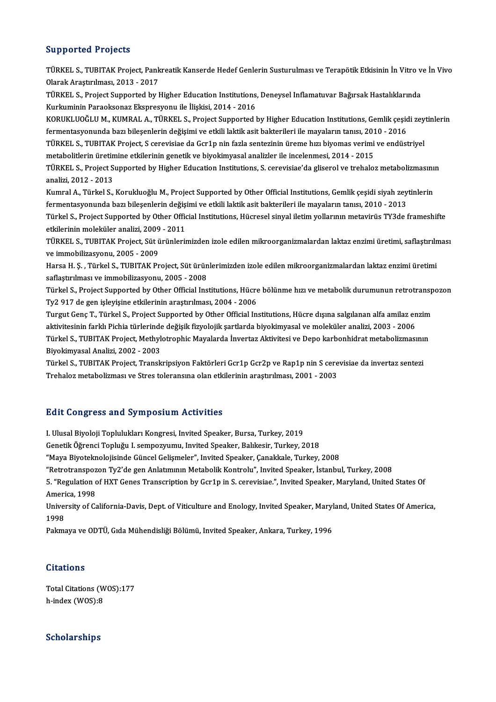## Supported Projects

Supported Projects<br>TÜRKEL S., TUBITAK Project, Pankreatik Kanserde Hedef Genlerin Susturulması ve Terapötik Etkisinin İn Vitro ve İn Vivo<br>Qlarek Arestirulması, 2012, 2017 Olapportolar 1 1 0 joules<br>TÜRKEL S., TUBITAK Project, Pank<br>Olarak Araştırılması, 2013 - 2017<br>TÜRKEL S. Project Supportod bu k TÜRKEL S., TUBITAK Project, Pankreatik Kanserde Hedef Genlerin Susturulması ve Terapötik Etkisinin İn Vitro v<br>Olarak Araştırılması, 2013 - 2017<br>TÜRKEL S., Project Supported by Higher Education Institutions, Deneysel Inflam Olarak Araştırılması, 2013 - 2017<br>TÜRKEL S., Project Supported by Higher Education Institutions,<br>Kurkuminin Paraoksonaz Ekspresyonu ile İlişkisi, 2014 - 2016<br>KORUKLUQČLU M. KUMPAL A. TÜRKEL S. Project Supported i TÜRKEL S., Project Supported by Higher Education Institutions, Deneysel Inflamatuvar Bağırsak Hastalıklarında<br>Kurkuminin Paraoksonaz Ekspresyonu ile İlişkisi, 2014 - 2016<br>KORUKLUOĞLU M., KUMRAL A., TÜRKEL S., Project Suppo Kurkuminin Paraoksonaz Ekspresyonu ile İlişkisi, 2014 - 2016<br>KORUKLUOĞLU M., KUMRAL A., TÜRKEL S., Project Supported by Higher Education Institutions, Gemlik çeşid<br>fermentasyonunda bazı bileşenlerin değişimi ve etkili lakt KORUKLUOĞLU M., KUMRAL A., TÜRKEL S., Project Supported by Higher Education Institutions, Gemlik çeşidi zey<br>fermentasyonunda bazı bileşenlerin değişimi ve etkili laktik asit bakterileri ile mayaların tanısı, 2010 - 2016<br>TÜ fermentasyonunda bazı bileşenlerin değişimi ve etkili laktik asit bakterileri ile mayaların tanısı, 201<br>TÜRKEL S., TUBITAK Project, S cerevisiae da Gcr1p nin fazla sentezinin üreme hızı biyomas verimi<br>metabolitlerin üretim TÜRKEL S., TUBITAK Project, S cerevisiae da Gcr1p nin fazla sentezinin üreme hızı biyomas verimi ve endüstriyel<br>metabolitlerin üretimine etkilerinin genetik ve biyokimyasal analizler ile incelenmesi, 2014 - 2015<br>TÜRKEL S., metabolitlerin üretin<br>TÜRKEL S., Project S<br>analizi, 2012 - 2013<br>Kumral A. Türkel S TÜRKEL S., Project Supported by Higher Education Institutions, S. cerevisiae'da gliserol ve trehaloz metabolizmasını<br>analizi, 2012 - 2013<br>Kumral A., Türkel S., Korukluoğlu M., Project Supported by Other Official Institutio analizi, 2012 - 2013<br>Kumral A., Türkel S., Korukluoğlu M., Project Supported by Other Official Institutions, Gemlik çeşidi siyah zey<br>fermentasyonunda bazı bileşenlerin değişimi ve etkili laktik asit bakterileri ile mayalar Kumral A., Türkel S., Korukluoğlu M., Project Supported by Other Official Institutions, Gemlik çeşidi siyah zeytinlerin<br>fermentasyonunda bazı bileşenlerin değişimi ve etkili laktik asit bakterileri ile mayalarının tanısı, fermentasyonunda bazı bileşenlerin değiş:<br>Türkel S., Project Supported by Other Offic<br>etkilerinin moleküler analizi, 2009 - 2011<br>TÜRKEL S. TURITAK Project Sit ürünleri: Türkel S., Project Supported by Other Official Institutions, Hücresel sinyal iletim yollarının metavirüs TY3de frameshifte<br>etkilerinin moleküler analizi, 2009 - 2011<br>TÜRKEL S., TUBITAK Project, Süt ürünlerimizden izole edi etkilerinin moleküler analizi, 2009<br>TÜRKEL S., TUBITAK Project, Süt ü<br>ve immobilizasyonu, 2005 - 2009<br>Harsa H. S., Türkel S., TUBITAK Pr TÜRKEL S., TUBITAK Project, Süt ürünlerimizden izole edilen mikroorganizmalardan laktaz enzimi üretimi, saflaştırılm<br>ve immobilizasyonu, 2005 - 2009<br>Harsa H. Ş. , Türkel S., TUBITAK Project, Süt ürünlerimizden izole edilen ve immobilizasyonu, 2005 - 2009<br>Harsa H. Ş. , Türkel S., TUBITAK Project, Süt ürünlerimizden izole edilen mikroorganizmalardan laktaz enzimi üretimi<br>saflaştırılması ve immobilizasyonu, 2005 - 2008<br>Türkel S., Project Suppor Harsa H. S., Türkel S., TUBITAK Project, Süt ürünlerimizden izole edilen mikroorganizmalardan laktaz enzimi üretimi Ty2 917 de gen işleyişine etkilerinin araştırılması, 2004 - 2006 Türkel S., Project Supported by Other Official Institutions, Hücre bölünme hızı ve metabolik durumunun retrotransp<br>Ty2 917 de gen işleyişine etkilerinin araştırılması, 2004 - 2006<br>Turgut Genç T., Türkel S., Project Support Ty2 917 de gen işleyişine etkilerinin araştırılması, 2004 - 2006<br>Turgut Genç T., Türkel S., Project Supported by Other Official Institutions, Hücre dışına salgılanan alfa amilaz en<br>aktivitesinin farklı Pichia türlerinde de Turgut Genç T., Türkel S., Project Supported by Other Official Institutions, Hücre dışına salgılanan alfa amilaz enzim<br>aktivitesinin farklı Pichia türlerinde değişik fizyolojik şartlarda biyokimyasal ve moleküler analizi, aktivitesinin farklı Pichia türlerinde değişik fizyolojik şartlarda biyokimyasal ve moleküler analizi, 2003 - 2006<br>Türkel S., TUBITAK Project, Methylotrophic Mayalarda İnvertaz Aktivitesi ve Depo karbonhidrat metabolizması Türkel S., TUBITAK Project, Methylotrophic Mayalarda İnvertaz Aktivitesi ve Depo karbonhidrat metabolizmasını<br>Biyokimyasal Analizi, 2002 - 2003<br>Türkel S., TUBITAK Project, Transkripsiyon Faktörleri Gcr1p Gcr2p ve Rap1p nin Biyokimyasal Analizi, 2002 - 2003<br>Türkel S., TUBITAK Project, Transkripsiyon Faktörleri Gcr1p Gcr2p ve Rap1p nin S cere<br>Trehaloz metabolizması ve Stres toleransına olan etkilerinin araştırılması, 2001 - 2003

# Trehaloz metabolizması ve Stres toleransına olan etkilerinin araştırılması, 2001 - 2003<br>Edit Congress and Symposium Activities

I. Ulusal Biyoloji Toplulukları Kongresi, Invited Speaker, Bursa, Turkey, 2019 gare Gongress and by mposium ricervices<br>I. Ulusal Biyoloji Toplulukları Kongresi, Invited Speaker, Bursa, Turkey, 2019<br>Genetik Öğrenci Topluğu I. sempozyumu, Invited Speaker, Balıkesir, Turkey, 2018<br>"Maya Biyotelmolojisind I. Ulusal Biyoloji Toplulukları Kongresi, Invited Speaker, Bursa, Turkey, 2019<br>Genetik Öğrenci Topluğu I. sempozyumu, Invited Speaker, Balıkesir, Turkey, 2018<br>"Maya Biyoteknolojisinde Güncel Gelişmeler", Invited Speaker, Ç Genetik Öğrenci Topluğu I. sempozyumu, Invited Speaker, Balıkesir, Turkey, 2018<br>"Maya Biyoteknolojisinde Güncel Gelişmeler", Invited Speaker, Çanakkale, Turkey, 2008<br>"Retrotranspozon Ty2'de gen Anlatımının Metabolik Kontro "Maya Biyoteknolojisinde Güncel Gelişmeler", Invited Speaker, Çanakkale, Turkey, 2008<br>"Retrotranspozon Ty2'de gen Anlatımının Metabolik Kontrolu", Invited Speaker, İstanbul, Turkey, 2008<br>5. "Regulation of HXT Genes Transcr "Retrotranspoz"<br>5. "Regulation<br>America, 1998<br>University of Co 5. "Regulation of HXT Genes Transcription by Gcr1p in S. cerevisiae.", Invited Speaker, Maryland, United States Of<br>America, 1998<br>University of California-Davis, Dept. of Viticulture and Enology, Invited Speaker, Maryland, Ameri<br>Univer<br>1998<br>Polme University of California-Davis, Dept. of Viticulture and Enology, Invited Speaker, Maryl<br>1998<br>Pakmaya ve ODTÜ, Gıda Mühendisliği Bölümü, Invited Speaker, Ankara, Turkey, 1996 Pakmaya ve ODTÜ, Gıda Mühendisliği Bölümü, Invited Speaker, Ankara, Turkey, 1996<br>Citations

Citations<br>Total Citations (WOS):177<br>b.indox (WOS):8 h-index (WOS):8

# h-index (WOS):8<br>Scholarships